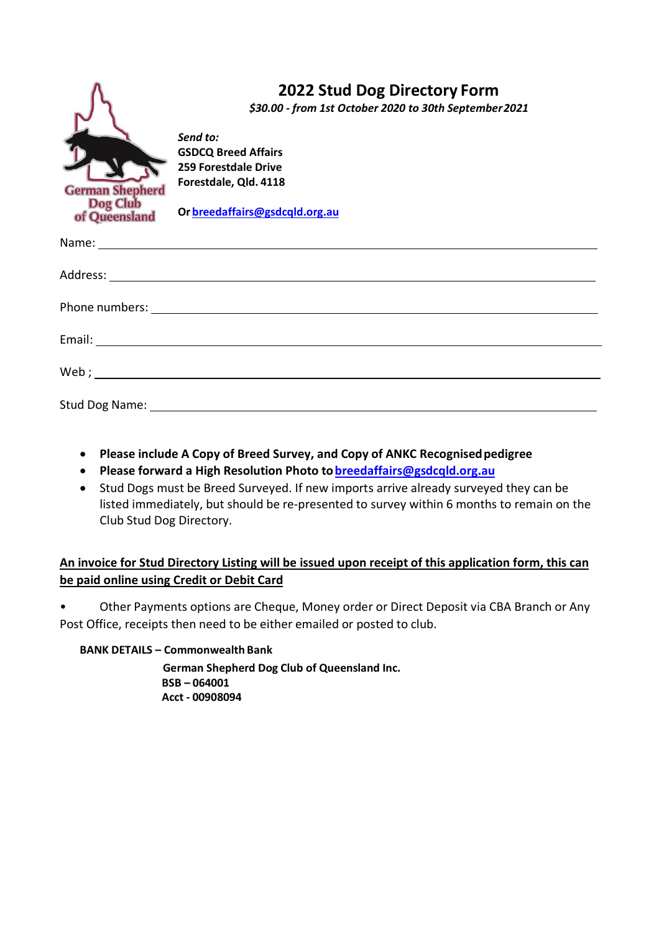

## **2022 Stud Dog Directory Form**

*\$30.00 - from 1st October 2020 to 30th September2021*

*Send to:* **GSDCQ Breed Affairs 259 Forestdale Drive Forestdale, Qld. 4118**

**Or breedaffairs@gsdcqld.org.au**

- **Please include A Copy of Breed Survey, and Copy of ANKC Recognisedpedigree**
- **Please forward a High Resolution Photo tobreedaffairs@gsdcqld.org.au**
- Stud Dogs must be Breed Surveyed. If new imports arrive already surveyed they can be listed immediately, but should be re-presented to survey within 6 months to remain on the Club Stud Dog Directory.

## **An invoice for Stud Directory Listing will be issued upon receipt of this application form, this can be paid online using Credit or Debit Card**

• Other Payments options are Cheque, Money order or Direct Deposit via CBA Branch or Any Post Office, receipts then need to be either emailed or posted to club.

## **BANK DETAILS – Commonwealth Bank**

 **German Shepherd Dog Club of Queensland Inc. BSB – 064001 Acct - 00908094**